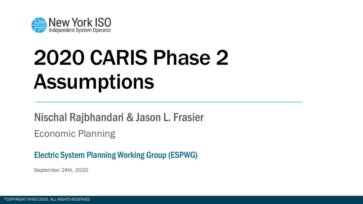

## 2020 CARIS Phase 2 **Assumptions**

#### Nischal Rajbhandari & Jason L. Frasier

Economic Planning

#### Electric System Planning Working Group (ESPWG)

September 24th, 2020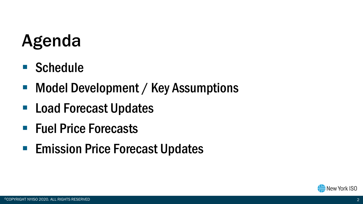## Agenda

- Schedule
- Model Development / Key Assumptions
- Load Forecast Updates
- Fuel Price Forecasts
- **Emission Price Forecast Updates**

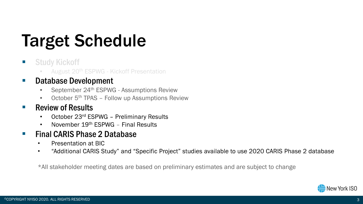## Target Schedule

#### **E** Study Kickoff

• August 20th ESPWG - Kickoff Presentation

#### **• Database Development**

- September 24<sup>th</sup> ESPWG Assumptions Review
- October 5<sup>th</sup> TPAS Follow up Assumptions Review

#### **Review of Results**  $\sim$

- October 23rd ESPWG Preliminary Results  $\bullet$
- November 19th FSPWG Final Results  $\bullet$

#### **Final CARIS Phase 2 Database The State**

- Presentation at BIC  $\bullet$
- "Additional CARIS Study" and "Specific Project" studies available to use 2020 CARIS Phase 2 database  $\bullet$

\*All stakeholder meeting dates are based on preliminary estimates and are subject to change

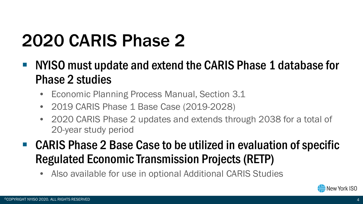## 2020 CARIS Phase 2

- NYISO must update and extend the CARIS Phase 1 database for Phase 2 studies
	- Economic Planning Process Manual, Section 3.1
	- 2019 CARIS Phase 1 Base Case (2019-2028)
	- 2020 CARIS Phase 2 updates and extends through 2038 for a total of 20-year study period
- CARIS Phase 2 Base Case to be utilized in evaluation of specific Regulated Economic Transmission Projects (RETP)
	- Also available for use in optional Additional CARIS Studies

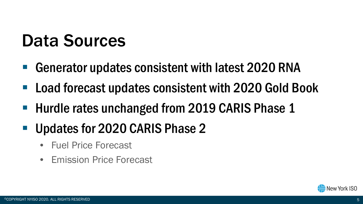## Data Sources

- Generator updates consistent with latest 2020 RNA
- Load forecast updates consistent with 2020 Gold Book
- Hurdle rates unchanged from 2019 CARIS Phase 1
- Updates for 2020 CARIS Phase 2
	- Fuel Price Forecast
	- Emission Price Forecast

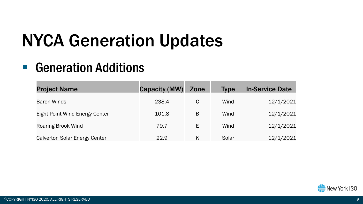#### ■ Generation Additions

| <b>Project Name</b>                  | <b>Capacity (MW)</b> | Zone | <b>Type</b> | <b>In-Service Date</b> |
|--------------------------------------|----------------------|------|-------------|------------------------|
| <b>Baron Winds</b>                   | 238.4                | C    | Wind        | 12/1/2021              |
| Eight Point Wind Energy Center       | 101.8                | B    | Wind        | 12/1/2021              |
| <b>Roaring Brook Wind</b>            | 79.7                 | Е    | Wind        | 12/1/2021              |
| <b>Calverton Solar Energy Center</b> | 22.9                 | Κ    | Solar       | 12/1/2021              |

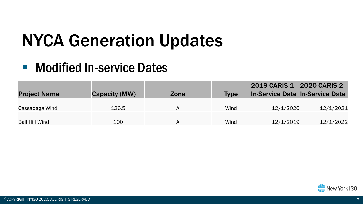#### ■ Modified In-service Dates

| <b>Project Name</b> | Capacity (MW) | Zone | <b>Type</b> | 2019 CARIS 1 2020 CARIS 2<br><b>In-Service Date In-Service Date</b> |           |
|---------------------|---------------|------|-------------|---------------------------------------------------------------------|-----------|
| Cassadaga Wind      | 126.5         | Α    | Wind        | 12/1/2020                                                           | 12/1/2021 |
| Ball Hill Wind      | 100           | Α    | Wind        | 12/1/2019                                                           | 12/1/2022 |

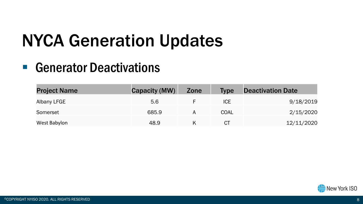#### ■ Generator Deactivations

| <b>Project Name</b> | Capacity (MW) | Zone | <b>Type</b> | <b>Deactivation Date</b> |
|---------------------|---------------|------|-------------|--------------------------|
| Albany LFGE         | 5.6           |      | <b>ICE</b>  | 9/18/2019                |
| Somerset            | 685.9         | А    | COAL        | 2/15/2020                |
| West Babylon        | 48.9          |      | СT          | 12/11/2020               |

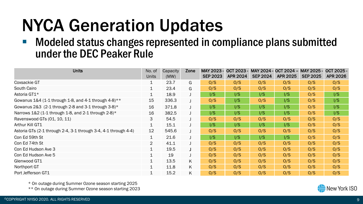#### ■ Modeled status changes represented in compliance plans submitted under the DEC Peaker Rule

| <b>Units</b>                                                    | No. of<br><b>Units</b> | Capacity<br>(MW) | Zone | MAY 2023 -<br><b>SEP 2023</b> | $OCT 2023 -$<br><b>APR 2024</b> | <b>SEP 2024</b> | MAY 2024 - OCT 2024 - MAY 2025 -<br><b>APR 2025</b> | <b>SEP 2025</b> | OCT 2025 -<br><b>APR 2026</b> |
|-----------------------------------------------------------------|------------------------|------------------|------|-------------------------------|---------------------------------|-----------------|-----------------------------------------------------|-----------------|-------------------------------|
| Coxsackie GT                                                    | 1                      | 23.7             | G    | O/S                           | O/S                             | O/S             | O/S                                                 | O/S             | O/S                           |
| South Cairo                                                     | $\mathbf 1$            | 23.4             | G    | O/S                           | O/S                             | O/S             | O/S                                                 | O/S             | O/S                           |
| Astoria GT1*                                                    | $\mathbf 1$            | 18.9             |      | 1/S                           | 1/S                             | 1/S             | 1/S                                                 | O/S             | 1/S                           |
| Gowanus $1&4$ (1-1 through 1-8, and 4-1 through 4-8)**          | 15                     | 336.3            |      | O/S                           | 1/S                             | O/S             | 1/S                                                 | O/S             | $\mathsf{I/S}\$               |
| Gowanus $2&3$ (2-1 through 2-8 and 3-1 through 3-8)*            | 16                     | 371.8            |      | $\mathsf{I/S}\$               | I/S                             | I/S             | 1/S                                                 | O/S             | I/S                           |
| Narrows $1&2$ (1-1 through 1-8, and 2-1 through 2-8)*           | 16                     | 382.5            |      | $\mathsf{I/S}$                | 1/S                             | 1/S             | 1/S                                                 | O/S             | $\sqrt{S}$                    |
| Ravenswood GTs (01, 10, 11)                                     | 3                      | 54.5             |      | O/S                           | O/S                             | O/S             | O/S                                                 | O/S             | O/S                           |
| Arthur Kill GT1                                                 | 1                      | 15.1             |      | 1/S                           | 1/S                             | 1/S             | 1/S                                                 | O/S             | O/S                           |
| Astoria GTs (2-1 through 2-4, 3-1 through 3-4, 4-1 through 4-4) | 12                     | 545.6            |      | O/S                           | O/S                             | O/S             | O/S                                                 | O/S             | O/S                           |
| Con Ed 59th St                                                  | $\mathbf{1}$           | 21.6             |      | $\mathsf{I/S}$                | 1/S                             | 1/S             | 1/S                                                 | O/S             | O/S                           |
| Con Ed 74th St                                                  | 2                      | 41.1             |      | O/S                           | O/S                             | O/S             | O/S                                                 | O/S             | O/S                           |
| Con Ed Hudson Ave 3                                             | $\mathbf{1}$           | 19.5             |      | O/S                           | O/S                             | O/S             | O/S                                                 | O/S             | O/S                           |
| Con Ed Hudson Ave 5                                             | $\mathbf{1}$           | 19               |      | O/S                           | O/S                             | O/S             | O/S                                                 | O/S             | O/S                           |
| Glenwood GT1                                                    | $\mathbf 1$            | 13.5             | K    | O/S                           | O/S                             | O/S             | O/S                                                 | O/S             | O/S                           |
| Northport GT                                                    | $\mathbf 1$            | 11.8             | K    | O/S                           | O/S                             | O/S             | O/S                                                 | O/S             | O/S                           |
| Port Jefferson GT1                                              | $\mathbf 1$            | 15.2             | K    | O/S                           | O/S                             | O/S             | O/S                                                 | O/S             | O/S                           |

\* On outage during Summer Ozone season starting 2025

\*\* On outage during Summer Ozone season starting 2023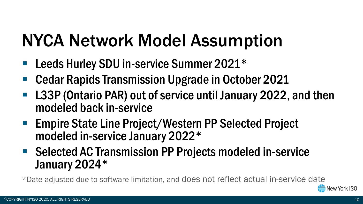## NYCA Network Model Assumption

- Leeds Hurley SDU in-service Summer 2021\*
- Cedar Rapids Transmission Upgrade in October 2021
- L33P (Ontario PAR) out of service until January 2022, and then modeled back in-service
- Empire State Line Project/Western PP Selected Project modeled in-service January 2022\*
- Selected AC Transmission PP Projects modeled in-service January 2024\*

\*Date adjusted due to software limitation, and does not reflect actual in-service date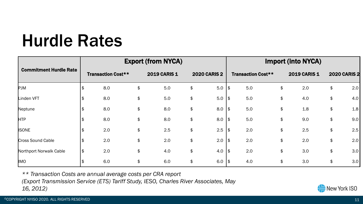#### Hurdle Rates

|                               |  |                           | <b>Export (from NYCA)</b> | <b>Import (into NYCA)</b> |    |                     |    |                           |    |                     |    |                     |  |
|-------------------------------|--|---------------------------|---------------------------|---------------------------|----|---------------------|----|---------------------------|----|---------------------|----|---------------------|--|
| <b>Commitment Hurdle Rate</b> |  | <b>Transaction Cost**</b> |                           | 2019 CARIS 1              |    | <b>2020 CARIS 2</b> |    | <b>Transaction Cost**</b> |    | <b>2019 CARIS 1</b> |    | <b>2020 CARIS 2</b> |  |
| <b>PJM</b>                    |  | 8.0                       | \$                        | 5.0                       | \$ | 5.0                 | \$ | 5.0                       | \$ | 2.0                 | \$ | 2.0                 |  |
| Linden VFT                    |  | 8.0                       | \$                        | 5.0                       | \$ | 5.0                 | \$ | 5.0                       | \$ | 4.0                 | \$ | 4.0                 |  |
| Neptune                       |  | 8.0                       | \$                        | 8.0                       | \$ | 8.0                 | \$ | 5.0                       | \$ | 1.8                 | \$ | 1.8                 |  |
| <b>HTP</b>                    |  | 8.0                       | \$                        | 8.0                       | \$ | 8.0                 | \$ | 5.0                       | \$ | 9.0                 | \$ | 9.0                 |  |
| <b>ISONE</b>                  |  | 2.0                       | \$                        | 2.5                       | \$ | 2.5                 | \$ | 2.0                       | \$ | 2.5                 | \$ | 2.5                 |  |
| Cross Sound Cable             |  | 2.0                       | \$                        | 2.0                       | \$ | 2.0                 | \$ | 2.0                       | \$ | 2.0                 | \$ | 2.0                 |  |
| Northport Norwalk Cable       |  | 2.0                       | \$                        | 4.0                       | \$ | 4.0                 | \$ | 2.0                       | \$ | 3.0                 | \$ | 3.0                 |  |
| <b>IMO</b>                    |  | 6.0                       | \$                        | 6.0                       | \$ | 6.0                 | \$ | 4.0                       | \$ | 3.0                 | \$ | 3.0                 |  |

*\*\* Transaction Costs are annual average costs per CRA report*

*(Export Transmission Service (ETS) Tariff Study, IESO, Charles River Associates, May* 

*16, 2012)*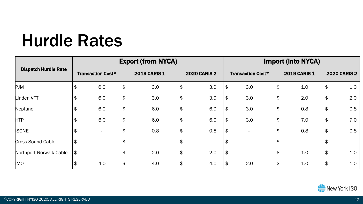#### Hurdle Rates

|                             |                          |     |               | <b>Export (from NYCA)</b> |                     | <b>Import (into NYCA)</b> |                          |     |    |              |    |                     |  |
|-----------------------------|--------------------------|-----|---------------|---------------------------|---------------------|---------------------------|--------------------------|-----|----|--------------|----|---------------------|--|
| <b>Dispatch Hurdle Rate</b> | <b>Transaction Cost*</b> |     | 2019 CARIS 1  |                           | <b>2020 CARIS 2</b> |                           | <b>Transaction Cost*</b> |     |    | 2019 CARIS 1 |    | <b>2020 CARIS 2</b> |  |
| <b>PJM</b>                  | \$                       | 6.0 | \$            | 3.0                       | \$                  | 3.0                       | \$                       | 3.0 | \$ | 1.0          | \$ | 1.0                 |  |
| Linden VFT                  | \$                       | 6.0 | \$            | 3.0                       | \$                  | 3.0                       | \$                       | 3.0 | \$ | 2.0          | \$ | 2.0                 |  |
| Neptune                     | \$                       | 6.0 | $\frac{1}{2}$ | 6.0                       | \$                  | 6.0                       | \$                       | 3.0 | \$ | 0.8          | \$ | 0.8                 |  |
| <b>HTP</b>                  | \$                       | 6.0 | \$            | 6.0                       | \$                  | 6.0                       | Ι\$                      | 3.0 | \$ | 7.0          | \$ | 7.0                 |  |
| <b>ISONE</b>                | \$                       |     | \$            | 0.8                       | \$                  | 0.8                       | 1\$                      |     | \$ | 0.8          | \$ | 0.8                 |  |
| Cross Sound Cable           | \$                       |     | \$            | $\overline{\phantom{a}}$  | \$                  | $\overline{\phantom{0}}$  |                          |     | \$ |              | \$ |                     |  |
| Northport Norwalk Cable     | \$                       |     | \$            | 2.0                       | \$                  | 2.0                       | 1\$                      |     | \$ | 1.0          | \$ | 1.0                 |  |
| <b>IMO</b>                  | \$                       | 4.0 | \$            | 4.0                       | \$                  | 4.0                       | \$                       | 2.0 | \$ | 1.0          | \$ | 1.0                 |  |

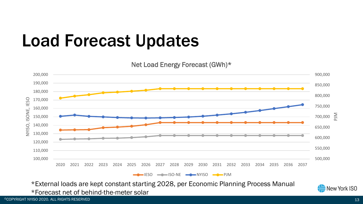### Load Forecast Updates

Net Load Energy Forecast (GWh)\*



\*External loads are kept constant starting 2028, per Economic Planning Process Manual \*Forecast net of behind-the-meter solar



13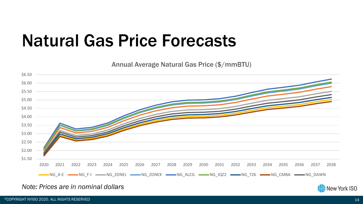#### Natural Gas Price Forecasts

Annual Average Natural Gas Price (\$/mmBTU)



#### *Note: Prices are in nominal dollars*

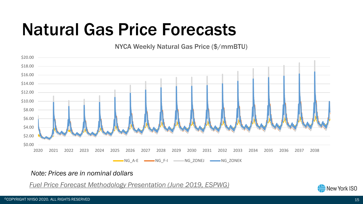### Natural Gas Price Forecasts

NYCA Weekly Natural Gas Price (\$/mmBTU)



#### *Note: Prices are in nominal dollars*

*[Fuel Price Forecast Methodology Presentation](https://www.nyiso.com/documents/20142/7239276/03b%202019%20CARIS%20Fuel%20Price%20Forecast%20with%20Proposed%20Methodology.pdf/8c6a7711-9431-9bb8-1f6b-5d6b45bf3839) (June 2019, ESPWG)*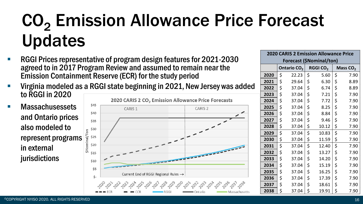## CO<sub>2</sub> Emission Allowance Price Forecast Updates

- RGGI Prices representative of program design features for 2021-2030 agreed to in 2017 Program Review and assumed to remain near the Emission Containment Reserve (ECR) for the study period
- Virginia modeled as a RGGI state beginning in 2021, New Jersey was added to RGGI in 2020
- **Massachusessets** and Ontario prices also modeled to represent programs in external jurisdictions



| <b>2020 CARIS 2 Emission Allowance Price</b><br>Forecast (\$Nominal/ton) |    |                         |    |                      |                      |      |  |  |  |  |
|--------------------------------------------------------------------------|----|-------------------------|----|----------------------|----------------------|------|--|--|--|--|
|                                                                          |    |                         |    |                      |                      |      |  |  |  |  |
|                                                                          |    | Ontario CO <sub>2</sub> |    | RGGI CO <sub>2</sub> | Mass CO <sub>2</sub> |      |  |  |  |  |
| 2020                                                                     | \$ | 22.23                   | \$ | 5.60                 | \$                   | 7.90 |  |  |  |  |
| 2021                                                                     | \$ | 29.64                   | \$ | 6.30                 | \$                   | 8.89 |  |  |  |  |
| 2022                                                                     | \$ | 37.04                   | \$ | 6.74                 | \$                   | 8.89 |  |  |  |  |
| 2023                                                                     | \$ | 37.04                   | \$ | 7.21                 | \$                   | 7.90 |  |  |  |  |
| 2024                                                                     | \$ | 37.04                   | \$ | 7.72                 | \$                   | 7.90 |  |  |  |  |
| 2025                                                                     | \$ | 37.04                   | \$ | 8.25                 | \$                   | 7.90 |  |  |  |  |
| 2026                                                                     | \$ | 37.04                   | \$ | 8.84                 | \$                   | 7.90 |  |  |  |  |
| 2027                                                                     | \$ | 37.04                   | \$ | 9.46                 | \$                   | 7.90 |  |  |  |  |
| 2028                                                                     | \$ | 37.04                   | \$ | 10.12                | \$                   | 7.90 |  |  |  |  |
| 2029                                                                     | \$ | 37.04                   | \$ | 10.83                | \$                   | 7.90 |  |  |  |  |
| 2030                                                                     | \$ | 37.04                   | \$ | 11.59                | \$                   | 7.90 |  |  |  |  |
| 2031                                                                     | \$ | 37.04                   | \$ | 12.40                | \$                   | 7.90 |  |  |  |  |
| 2032                                                                     | \$ | 37.04                   | \$ | 13.27                | \$                   | 7.90 |  |  |  |  |
| 2033                                                                     | \$ | 37.04                   | \$ | 14.20                | \$                   | 7.90 |  |  |  |  |
| 2034                                                                     | \$ | 37.04                   | \$ | 15.19                | \$                   | 7.90 |  |  |  |  |
| 2035                                                                     | \$ | 37.04                   | \$ | 16.25                | \$                   | 7.90 |  |  |  |  |
| 2036                                                                     | \$ | 37.04                   | \$ | 17.39                | \$                   | 7.90 |  |  |  |  |
| 2037                                                                     | \$ | 37.04                   | \$ | 18.61                | \$                   | 7.90 |  |  |  |  |
| 2038                                                                     | \$ | 37.04                   | \$ | 19.91                | \$                   | 7.90 |  |  |  |  |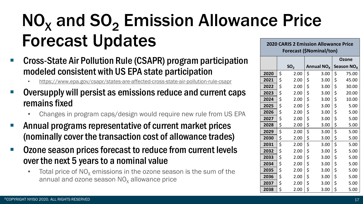#### $NO<sub>x</sub>$  and  $SO<sub>2</sub>$  Emission Allowance Price Forecast Updates **2020 CARIS 2 Emission Allowance Price**

- Cross-State Air Pollution Rule (CSAPR) program participation modeled consistent with US EPA state participation
	- <https://www.epa.gov/csapr/states-are-affected-cross-state-air-pollution-rule-csapr>
- Oversupply will persist as emissions reduce and current caps remains fixed
	- Changes in program caps/design would require new rule from US EPA
- Annual programs representative of current market prices (nominally cover the transaction cost of allowance trades)
- Ozone season prices forecast to reduce from current levels over the next 5 years to a nominal value
	- Total price of  $NO<sub>x</sub>$  emissions in the ozone season is the sum of the annual and ozone season  $NO<sub>x</sub>$  allowance price

**Forecast (\$Nominal/ton)**

|      |                 |                        | Ozone                  |
|------|-----------------|------------------------|------------------------|
|      | SO <sub>2</sub> | Annual NO <sub>x</sub> | Season NO <sub>x</sub> |
| 2020 | \$<br>2.00      | \$<br>3.00             | \$<br>75.00            |
| 2021 | \$<br>2.00      | \$<br>3.00             | \$<br>45.00            |
| 2022 | \$<br>2.00      | \$<br>3.00             | \$<br>30.00            |
| 2023 | \$<br>2.00      | \$<br>3.00             | \$<br>20.00            |
| 2024 | \$<br>2.00      | \$<br>3.00             | \$<br>10.00            |
| 2025 | \$<br>2.00      | \$<br>3.00             | \$<br>5.00             |
| 2026 | \$<br>2.00      | \$<br>3.00             | \$<br>5.00             |
| 2027 | \$<br>2.00      | \$<br>3.00             | \$<br>5.00             |
| 2028 | \$<br>2.00      | \$<br>3.00             | \$<br>5.00             |
| 2029 | \$<br>2.00      | \$<br>3.00             | \$<br>5.00             |
| 2030 | \$<br>2.00      | \$<br>3.00             | \$<br>5.00             |
| 2031 | \$<br>2.00      | \$<br>3.00             | \$<br>5.00             |
| 2032 | \$<br>2.00      | \$<br>3.00             | \$<br>5.00             |
| 2033 | \$<br>2.00      | \$<br>3.00             | \$<br>5.00             |
| 2034 | \$<br>2.00      | \$<br>3.00             | \$<br>5.00             |
| 2035 | \$<br>2.00      | \$<br>3.00             | \$<br>5.00             |
| 2036 | \$<br>2.00      | \$<br>3.00             | \$<br>5.00             |
| 2037 | \$<br>2.00      | \$<br>3.00             | \$<br>5.00             |
| 2038 | \$<br>2.00      | \$<br>3.00             | \$<br>5.00             |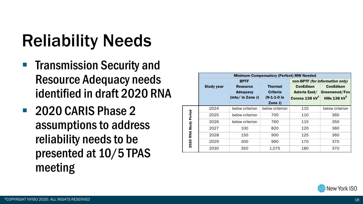## Reliability Needs

- **Transmission Security and** Resource Adequacy needs identified in draft 2020 RNA
- 2020 CARIS Phase 2 assumptions to address reliability needs to be presented at 10/5 TPAS meeting

|                       | <b>Minimum Compensatory (Perfect) MW Needed</b> |                   |                                 |                  |                  |  |  |  |  |  |  |  |
|-----------------------|-------------------------------------------------|-------------------|---------------------------------|------------------|------------------|--|--|--|--|--|--|--|
|                       |                                                 | <b>BPTF</b>       | non-BPTF (for information only) |                  |                  |  |  |  |  |  |  |  |
|                       | <b>Study year</b>                               | <b>Resource</b>   | <b>Thermal</b>                  | <b>ConEdison</b> | <b>ConEdison</b> |  |  |  |  |  |  |  |
|                       |                                                 | <b>Adequacy</b>   | <b>Criteria</b>                 | Astoria East/    | Greenwood/Fox    |  |  |  |  |  |  |  |
|                       |                                                 | (into/ in Zone J) | $(N-1-1-0)$ in                  | Corona 138 $kV1$ | Hills 138 $kV^2$ |  |  |  |  |  |  |  |
|                       |                                                 |                   | Zone J)                         |                  |                  |  |  |  |  |  |  |  |
|                       | 2024                                            | below criterion   | below criterion                 | 115              | below criterion  |  |  |  |  |  |  |  |
|                       | 2025                                            | below criterion   | 700                             | 110              | 360              |  |  |  |  |  |  |  |
| 2020 RNA Study Period | 2026                                            | below criterion   | 760                             | 115              | 350              |  |  |  |  |  |  |  |
|                       | 2027                                            | 100               | 820                             | 120              | 360              |  |  |  |  |  |  |  |
|                       | 2028                                            | 150               | 900                             | 125              | 360              |  |  |  |  |  |  |  |
|                       | 2029                                            | 300               | 990                             | 170              | 370              |  |  |  |  |  |  |  |
|                       | 2030                                            | 350               | 1,075                           | 180              | 370              |  |  |  |  |  |  |  |

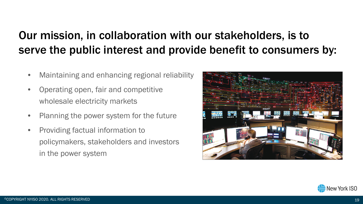#### Our mission, in collaboration with our stakeholders, is to serve the public interest and provide benefit to consumers by:

- Maintaining and enhancing regional reliability
- Operating open, fair and competitive wholesale electricity markets
- Planning the power system for the future
- Providing factual information to policymakers, stakeholders and investors in the power system